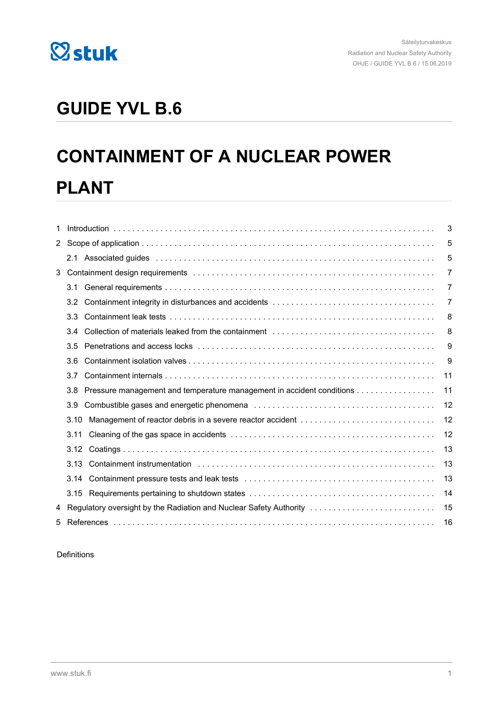

## **GUIDE YVL B.6**

# **CONTAINMENT OF A NUCLEAR POWER PLANT**

| 1 |                  |                                                                       | 3  |
|---|------------------|-----------------------------------------------------------------------|----|
|   |                  |                                                                       | 5  |
|   | 2.1              |                                                                       | 5  |
|   |                  |                                                                       | 7  |
|   | 3.1              |                                                                       | 7  |
|   | 3.2              |                                                                       | 7  |
|   | 3.3 <sub>1</sub> |                                                                       | 8  |
|   | 3.4              |                                                                       | 8  |
|   | 3.5              |                                                                       | 9  |
|   | 3.6              |                                                                       | 9  |
|   | 3.7              |                                                                       | 11 |
|   | 3.8              | Pressure management and temperature management in accident conditions | 11 |
|   | 3.9              |                                                                       | 12 |
|   | 3.10             |                                                                       | 12 |
|   | 3.11             |                                                                       | 12 |
|   | 3.12             |                                                                       | 13 |
|   | 3.13             |                                                                       | 13 |
|   | 3.14             |                                                                       | 13 |
|   |                  |                                                                       | 14 |
|   |                  | 4 Regulatory oversight by the Radiation and Nuclear Safety Authority  | 15 |
| 5 |                  |                                                                       | 16 |

Definitions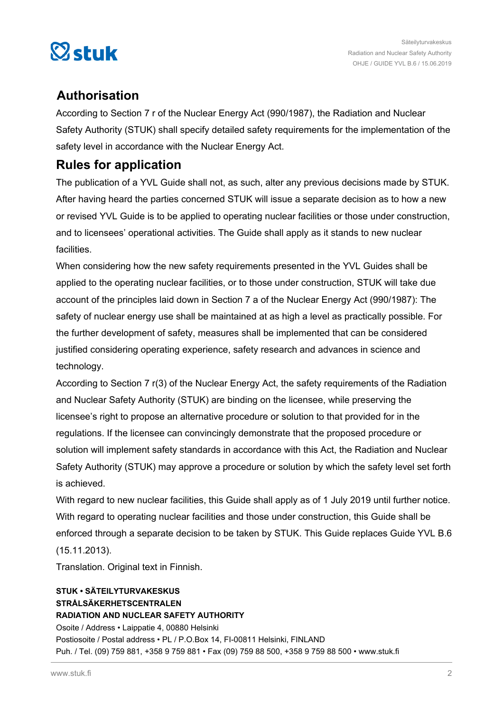

## **Authorisation**

According to Section 7 r of the Nuclear Energy Act (990/1987), the Radiation and Nuclear Safety Authority (STUK) shall specify detailed safety requirements for the implementation of the safety level in accordance with the Nuclear Energy Act.

## **Rules for application**

The publication of a YVL Guide shall not, as such, alter any previous decisions made by STUK. After having heard the parties concerned STUK will issue a separate decision as to how a new or revised YVL Guide is to be applied to operating nuclear facilities or those under construction, and to licensees' operational activities. The Guide shall apply as it stands to new nuclear facilities.

When considering how the new safety requirements presented in the YVL Guides shall be applied to the operating nuclear facilities, or to those under construction, STUK will take due account of the principles laid down in Section 7 a of the Nuclear Energy Act (990/1987): The safety of nuclear energy use shall be maintained at as high a level as practically possible. For the further development of safety, measures shall be implemented that can be considered justified considering operating experience, safety research and advances in science and technology.

According to Section 7 r(3) of the Nuclear Energy Act, the safety requirements of the Radiation and Nuclear Safety Authority (STUK) are binding on the licensee, while preserving the licensee's right to propose an alternative procedure or solution to that provided for in the regulations. If the licensee can convincingly demonstrate that the proposed procedure or solution will implement safety standards in accordance with this Act, the Radiation and Nuclear Safety Authority (STUK) may approve a procedure or solution by which the safety level set forth is achieved.

With regard to new nuclear facilities, this Guide shall apply as of 1 July 2019 until further notice. With regard to operating nuclear facilities and those under construction, this Guide shall be enforced through a separate decision to be taken by STUK. This Guide replaces Guide YVL B.6 (15.11.2013).

Translation. Original text in Finnish.

## **STUK • SÄTEILYTURVAKESKUS STRÅLSÄKERHETSCENTRALEN RADIATION AND NUCLEAR SAFETY AUTHORITY** Osoite / Address • Laippatie 4, 00880 Helsinki Postiosoite / Postal address • PL / P.O.Box 14, FI-00811 Helsinki, FINLAND Puh. / Tel. (09) 759 881, +358 9 759 881 • Fax (09) 759 88 500, +358 9 759 88 500 • www.stuk.fi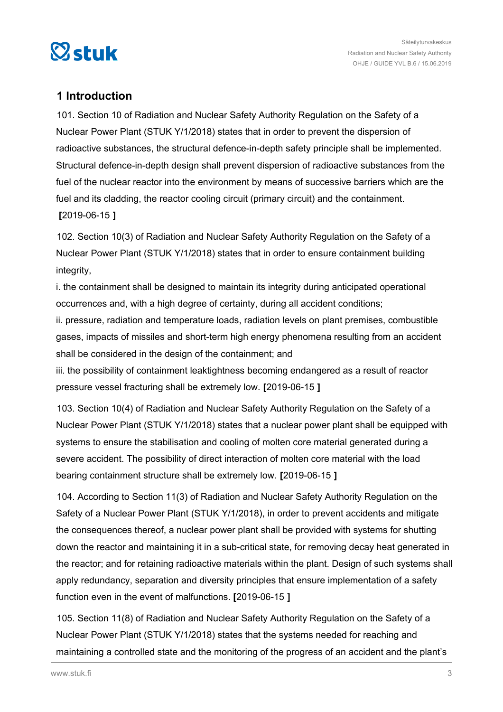<span id="page-2-0"></span>

## **1 Introduction**

101. Section 10 of Radiation and Nuclear Safety Authority Regulation on the Safety of a Nuclear Power Plant (STUK Y/1/2018) states that in order to prevent the dispersion of radioactive substances, the structural defence-in-depth safety principle shall be implemented. Structural defence-in-depth design shall prevent dispersion of radioactive substances from the fuel of the nuclear reactor into the environment by means of successive barriers which are the fuel and its cladding, the reactor cooling circuit (primary circuit) and the containment. **[**2019-06-15 **]**

102. Section 10(3) of Radiation and Nuclear Safety Authority Regulation on the Safety of a Nuclear Power Plant (STUK Y/1/2018) states that in order to ensure containment building integrity,

i. the containment shall be designed to maintain its integrity during anticipated operational occurrences and, with a high degree of certainty, during all accident conditions;

ii. pressure, radiation and temperature loads, radiation levels on plant premises, combustible gases, impacts of missiles and short-term high energy phenomena resulting from an accident shall be considered in the design of the containment; and

iii. the possibility of containment leaktightness becoming endangered as a result of reactor pressure vessel fracturing shall be extremely low. **[**2019-06-15 **]**

103. Section 10(4) of Radiation and Nuclear Safety Authority Regulation on the Safety of a Nuclear Power Plant (STUK Y/1/2018) states that a nuclear power plant shall be equipped with systems to ensure the stabilisation and cooling of molten core material generated during a severe accident. The possibility of direct interaction of molten core material with the load bearing containment structure shall be extremely low. **[**2019-06-15 **]**

104. According to Section 11(3) of Radiation and Nuclear Safety Authority Regulation on the Safety of a Nuclear Power Plant (STUK Y/1/2018), in order to prevent accidents and mitigate the consequences thereof, a nuclear power plant shall be provided with systems for shutting down the reactor and maintaining it in a sub-critical state, for removing decay heat generated in the reactor; and for retaining radioactive materials within the plant. Design of such systems shall apply redundancy, separation and diversity principles that ensure implementation of a safety function even in the event of malfunctions. **[**2019-06-15 **]**

105. Section 11(8) of Radiation and Nuclear Safety Authority Regulation on the Safety of a Nuclear Power Plant (STUK Y/1/2018) states that the systems needed for reaching and maintaining a controlled state and the monitoring of the progress of an accident and the plant's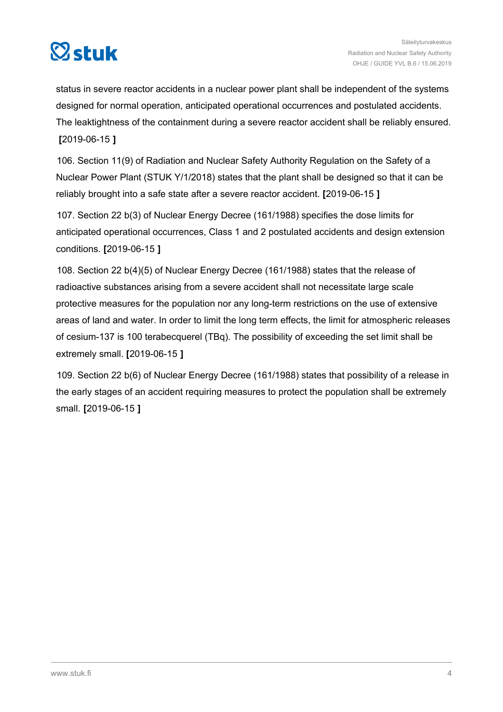

status in severe reactor accidents in a nuclear power plant shall be independent of the systems designed for normal operation, anticipated operational occurrences and postulated accidents. The leaktightness of the containment during a severe reactor accident shall be reliably ensured. **[**2019-06-15 **]**

106. Section 11(9) of Radiation and Nuclear Safety Authority Regulation on the Safety of a Nuclear Power Plant (STUK Y/1/2018) states that the plant shall be designed so that it can be reliably brought into a safe state after a severe reactor accident. **[**2019-06-15 **]**

107. Section 22 b(3) of Nuclear Energy Decree (161/1988) specifies the dose limits for anticipated operational occurrences, Class 1 and 2 postulated accidents and design extension conditions. **[**2019-06-15 **]**

108. Section 22 b(4)(5) of Nuclear Energy Decree (161/1988) states that the release of radioactive substances arising from a severe accident shall not necessitate large scale protective measures for the population nor any long-term restrictions on the use of extensive areas of land and water. In order to limit the long term effects, the limit for atmospheric releases of cesium-137 is 100 terabecquerel (TBq). The possibility of exceeding the set limit shall be extremely small. **[**2019-06-15 **]**

109. Section 22 b(6) of Nuclear Energy Decree (161/1988) states that possibility of a release in the early stages of an accident requiring measures to protect the population shall be extremely small. **[**2019-06-15 **]**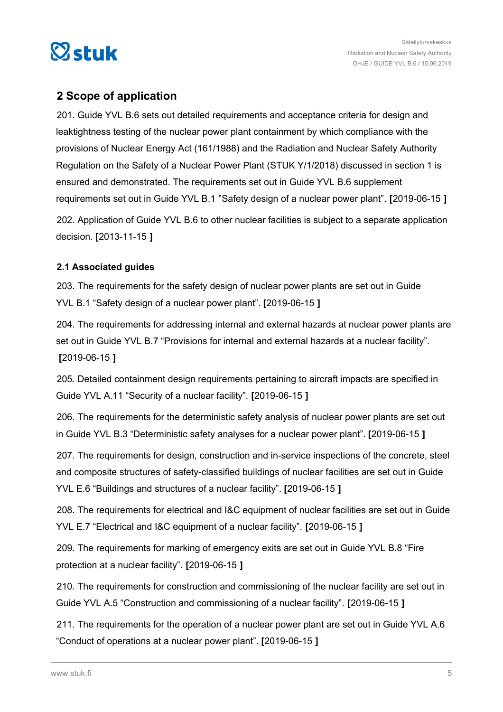<span id="page-4-0"></span>

## **2 Scope of application**

201. Guide YVL B.6 sets out detailed requirements and acceptance criteria for design and leaktightness testing of the nuclear power plant containment by which compliance with the provisions of Nuclear Energy Act (161/1988) and the Radiation and Nuclear Safety Authority Regulation on the Safety of a Nuclear Power Plant (STUK Y/1/2018) discussed in section 1 is ensured and demonstrated. The requirements set out in Guide YVL B.6 supplement requirements set out in Guide YVL B.1 "Safety design of a nuclear power plant". **[**2019-06-15 **]** 202. Application of Guide YVL B.6 to other nuclear facilities is subject to a separate application decision. **[**2013-11-15 **]**

## **2.1 Associated guides**

203. The requirements for the safety design of nuclear power plants are set out in Guide YVL B.1 "Safety design of a nuclear power plant". **[**2019-06-15 **]**

204. The requirements for addressing internal and external hazards at nuclear power plants are set out in Guide YVL B.7 "Provisions for internal and external hazards at a nuclear facility". **[**2019-06-15 **]**

205. Detailed containment design requirements pertaining to aircraft impacts are specified in Guide YVL A.11 "Security of a nuclear facility". **[**2019-06-15 **]**

206. The requirements for the deterministic safety analysis of nuclear power plants are set out in Guide YVL B.3 "Deterministic safety analyses for a nuclear power plant". **[**2019-06-15 **]**

207. The requirements for design, construction and in-service inspections of the concrete, steel and composite structures of safety-classified buildings of nuclear facilities are set out in Guide YVL E.6 "Buildings and structures of a nuclear facility". **[**2019-06-15 **]**

208. The requirements for electrical and I&C equipment of nuclear facilities are set out in Guide YVL E.7 "Electrical and I&C equipment of a nuclear facility". **[**2019-06-15 **]**

209. The requirements for marking of emergency exits are set out in Guide YVL B.8 "Fire protection at a nuclear facility". **[**2019-06-15 **]**

210. The requirements for construction and commissioning of the nuclear facility are set out in Guide YVL A.5 "Construction and commissioning of a nuclear facility". **[**2019-06-15 **]**

211. The requirements for the operation of a nuclear power plant are set out in Guide YVL A.6 "Conduct of operations at a nuclear power plant". **[**2019-06-15 **]**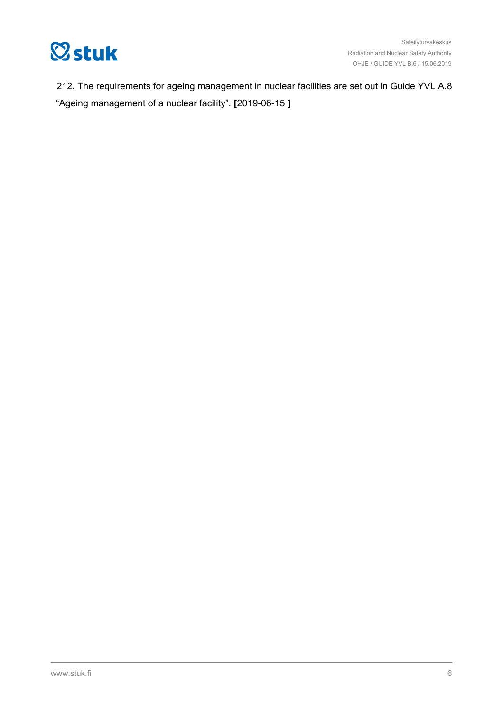

212. The requirements for ageing management in nuclear facilities are set out in Guide YVL A.8 "Ageing management of a nuclear facility". **[**2019-06-15 **]**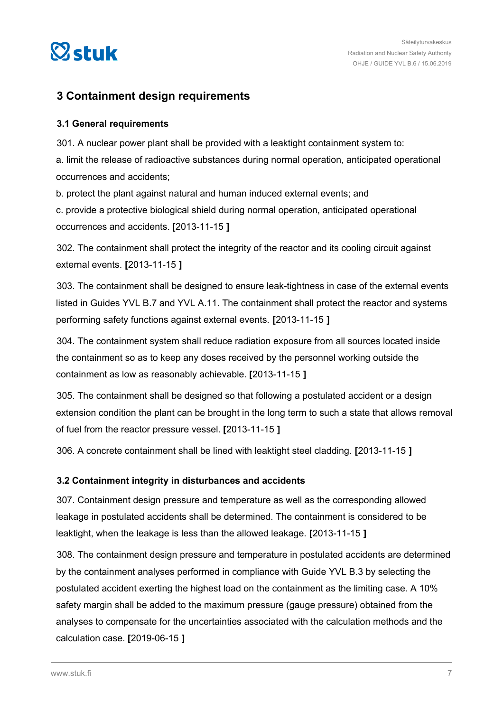<span id="page-6-0"></span>

## **3 Containment design requirements**

## **3.1 General requirements**

301. A nuclear power plant shall be provided with a leaktight containment system to: a. limit the release of radioactive substances during normal operation, anticipated operational occurrences and accidents;

b. protect the plant against natural and human induced external events; and

c. provide a protective biological shield during normal operation, anticipated operational occurrences and accidents. **[**2013-11-15 **]**

302. The containment shall protect the integrity of the reactor and its cooling circuit against external events. **[**2013-11-15 **]**

303. The containment shall be designed to ensure leak-tightness in case of the external events listed in Guides YVL B.7 and YVL A.11. The containment shall protect the reactor and systems performing safety functions against external events. **[**2013-11-15 **]**

304. The containment system shall reduce radiation exposure from all sources located inside the containment so as to keep any doses received by the personnel working outside the containment as low as reasonably achievable. **[**2013-11-15 **]**

305. The containment shall be designed so that following a postulated accident or a design extension condition the plant can be brought in the long term to such a state that allows removal of fuel from the reactor pressure vessel. **[**2013-11-15 **]**

306. A concrete containment shall be lined with leaktight steel cladding. **[**2013-11-15 **]**

## **3.2 Containment integrity in disturbances and accidents**

307. Containment design pressure and temperature as well as the corresponding allowed leakage in postulated accidents shall be determined. The containment is considered to be leaktight, when the leakage is less than the allowed leakage. **[**2013-11-15 **]**

308. The containment design pressure and temperature in postulated accidents are determined by the containment analyses performed in compliance with Guide YVL B.3 by selecting the postulated accident exerting the highest load on the containment as the limiting case. A 10% safety margin shall be added to the maximum pressure (gauge pressure) obtained from the analyses to compensate for the uncertainties associated with the calculation methods and the calculation case. **[**2019-06-15 **]**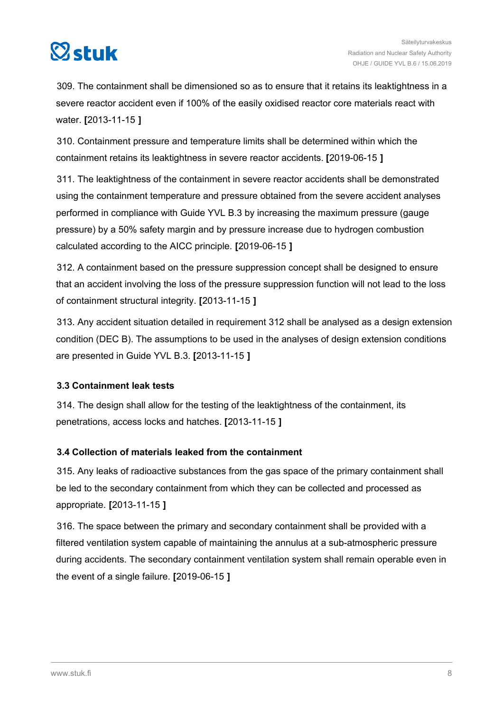<span id="page-7-0"></span>

309. The containment shall be dimensioned so as to ensure that it retains its leaktightness in a severe reactor accident even if 100% of the easily oxidised reactor core materials react with water. **[**2013-11-15 **]**

310. Containment pressure and temperature limits shall be determined within which the containment retains its leaktightness in severe reactor accidents. **[**2019-06-15 **]**

311. The leaktightness of the containment in severe reactor accidents shall be demonstrated using the containment temperature and pressure obtained from the severe accident analyses performed in compliance with Guide YVL B.3 by increasing the maximum pressure (gauge pressure) by a 50% safety margin and by pressure increase due to hydrogen combustion calculated according to the AICC principle. **[**2019-06-15 **]**

312. A containment based on the pressure suppression concept shall be designed to ensure that an accident involving the loss of the pressure suppression function will not lead to the loss of containment structural integrity. **[**2013-11-15 **]**

313. Any accident situation detailed in requirement 312 shall be analysed as a design extension condition (DEC B). The assumptions to be used in the analyses of design extension conditions are presented in Guide YVL B.3. **[**2013-11-15 **]**

## **3.3 Containment leak tests**

314. The design shall allow for the testing of the leaktightness of the containment, its penetrations, access locks and hatches. **[**2013-11-15 **]**

## **3.4 Collection of materials leaked from the containment**

315. Any leaks of radioactive substances from the gas space of the primary containment shall be led to the secondary containment from which they can be collected and processed as appropriate. **[**2013-11-15 **]**

316. The space between the primary and secondary containment shall be provided with a filtered ventilation system capable of maintaining the annulus at a sub-atmospheric pressure during accidents. The secondary containment ventilation system shall remain operable even in the event of a single failure. **[**2019-06-15 **]**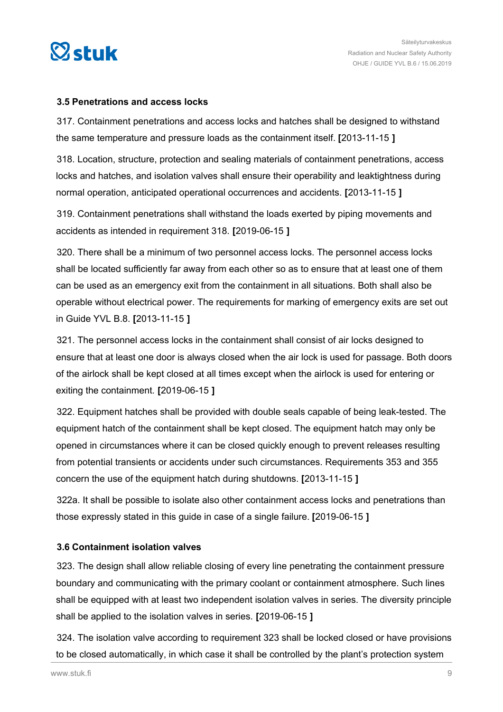<span id="page-8-0"></span>

## **3.5 Penetrations and access locks**

317. Containment penetrations and access locks and hatches shall be designed to withstand the same temperature and pressure loads as the containment itself. **[**2013-11-15 **]**

318. Location, structure, protection and sealing materials of containment penetrations, access locks and hatches, and isolation valves shall ensure their operability and leaktightness during normal operation, anticipated operational occurrences and accidents. **[**2013-11-15 **]**

319. Containment penetrations shall withstand the loads exerted by piping movements and accidents as intended in requirement 318. **[**2019-06-15 **]**

320. There shall be a minimum of two personnel access locks. The personnel access locks shall be located sufficiently far away from each other so as to ensure that at least one of them can be used as an emergency exit from the containment in all situations. Both shall also be operable without electrical power. The requirements for marking of emergency exits are set out in Guide YVL B.8. **[**2013-11-15 **]**

321. The personnel access locks in the containment shall consist of air locks designed to ensure that at least one door is always closed when the air lock is used for passage. Both doors of the airlock shall be kept closed at all times except when the airlock is used for entering or exiting the containment. **[**2019-06-15 **]**

322. Equipment hatches shall be provided with double seals capable of being leak-tested. The equipment hatch of the containment shall be kept closed. The equipment hatch may only be opened in circumstances where it can be closed quickly enough to prevent releases resulting from potential transients or accidents under such circumstances. Requirements 353 and 355 concern the use of the equipment hatch during shutdowns. **[**2013-11-15 **]**

322a. It shall be possible to isolate also other containment access locks and penetrations than those expressly stated in this guide in case of a single failure. **[**2019-06-15 **]**

## **3.6 Containment isolation valves**

323. The design shall allow reliable closing of every line penetrating the containment pressure boundary and communicating with the primary coolant or containment atmosphere. Such lines shall be equipped with at least two independent isolation valves in series. The diversity principle shall be applied to the isolation valves in series. **[**2019-06-15 **]**

324. The isolation valve according to requirement 323 shall be locked closed or have provisions to be closed automatically, in which case it shall be controlled by the plant's protection system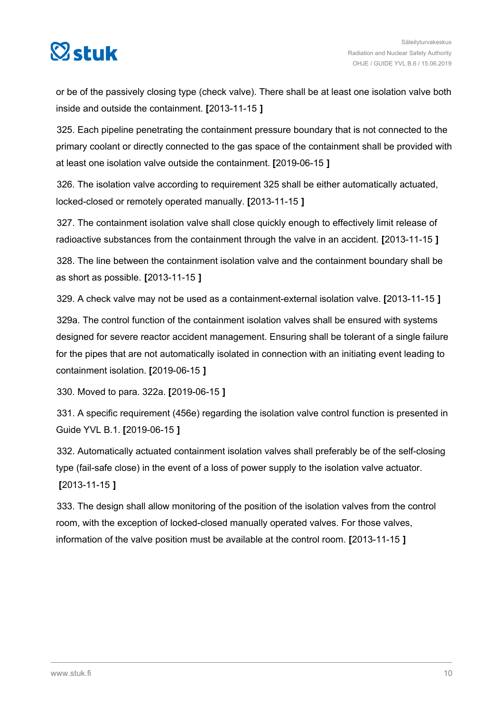

or be of the passively closing type (check valve). There shall be at least one isolation valve both inside and outside the containment. **[**2013-11-15 **]**

325. Each pipeline penetrating the containment pressure boundary that is not connected to the primary coolant or directly connected to the gas space of the containment shall be provided with at least one isolation valve outside the containment. **[**2019-06-15 **]**

326. The isolation valve according to requirement 325 shall be either automatically actuated, locked-closed or remotely operated manually. **[**2013-11-15 **]**

327. The containment isolation valve shall close quickly enough to effectively limit release of radioactive substances from the containment through the valve in an accident. **[**2013-11-15 **]**

328. The line between the containment isolation valve and the containment boundary shall be as short as possible. **[**2013-11-15 **]**

329. A check valve may not be used as a containment-external isolation valve. **[**2013-11-15 **]**

329a. The control function of the containment isolation valves shall be ensured with systems designed for severe reactor accident management. Ensuring shall be tolerant of a single failure for the pipes that are not automatically isolated in connection with an initiating event leading to containment isolation. **[**2019-06-15 **]**

330. Moved to para. 322a. **[**2019-06-15 **]**

331. A specific requirement (456e) regarding the isolation valve control function is presented in Guide YVL B.1. **[**2019-06-15 **]**

332. Automatically actuated containment isolation valves shall preferably be of the self-closing type (fail-safe close) in the event of a loss of power supply to the isolation valve actuator. **[**2013-11-15 **]**

333. The design shall allow monitoring of the position of the isolation valves from the control room, with the exception of locked-closed manually operated valves. For those valves, information of the valve position must be available at the control room. **[**2013-11-15 **]**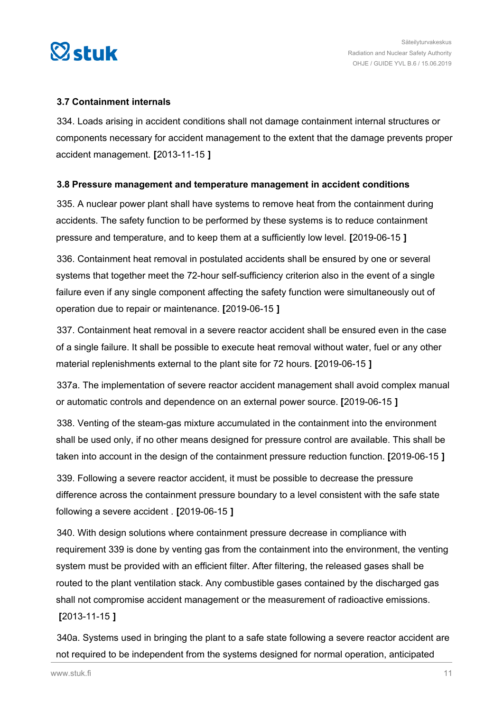<span id="page-10-0"></span>

## **3.7 Containment internals**

334. Loads arising in accident conditions shall not damage containment internal structures or components necessary for accident management to the extent that the damage prevents proper accident management. **[**2013-11-15 **]**

## **3.8 Pressure management and temperature management in accident conditions**

335. A nuclear power plant shall have systems to remove heat from the containment during accidents. The safety function to be performed by these systems is to reduce containment pressure and temperature, and to keep them at a sufficiently low level. **[**2019-06-15 **]**

336. Containment heat removal in postulated accidents shall be ensured by one or several systems that together meet the 72-hour self-sufficiency criterion also in the event of a single failure even if any single component affecting the safety function were simultaneously out of operation due to repair or maintenance. **[**2019-06-15 **]**

337. Containment heat removal in a severe reactor accident shall be ensured even in the case of a single failure. It shall be possible to execute heat removal without water, fuel or any other material replenishments external to the plant site for 72 hours. **[**2019-06-15 **]**

337a. The implementation of severe reactor accident management shall avoid complex manual or automatic controls and dependence on an external power source. **[**2019-06-15 **]**

338. Venting of the steam-gas mixture accumulated in the containment into the environment shall be used only, if no other means designed for pressure control are available. This shall be taken into account in the design of the containment pressure reduction function. **[**2019-06-15 **]**

339. Following a severe reactor accident, it must be possible to decrease the pressure difference across the containment pressure boundary to a level consistent with the safe state following a severe accident . **[**2019-06-15 **]**

340. With design solutions where containment pressure decrease in compliance with requirement 339 is done by venting gas from the containment into the environment, the venting system must be provided with an efficient filter. After filtering, the released gases shall be routed to the plant ventilation stack. Any combustible gases contained by the discharged gas shall not compromise accident management or the measurement of radioactive emissions. **[**2013-11-15 **]**

340a. Systems used in bringing the plant to a safe state following a severe reactor accident are not required to be independent from the systems designed for normal operation, anticipated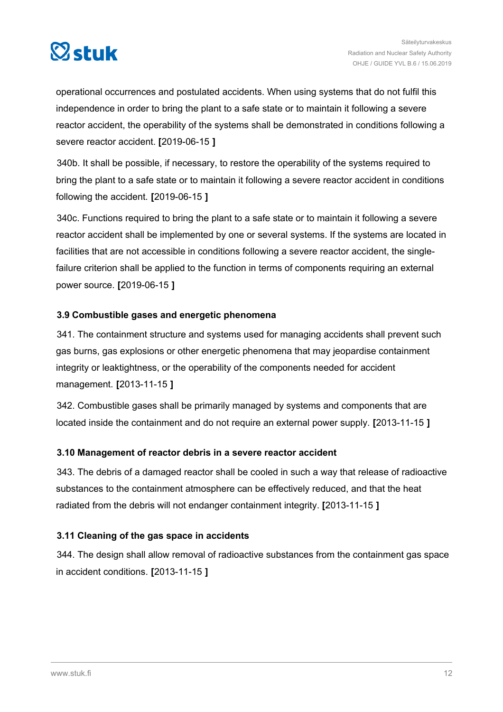<span id="page-11-0"></span>

operational occurrences and postulated accidents. When using systems that do not fulfil this independence in order to bring the plant to a safe state or to maintain it following a severe reactor accident, the operability of the systems shall be demonstrated in conditions following a severe reactor accident. **[**2019-06-15 **]**

340b. It shall be possible, if necessary, to restore the operability of the systems required to bring the plant to a safe state or to maintain it following a severe reactor accident in conditions following the accident. **[**2019-06-15 **]**

340c. Functions required to bring the plant to a safe state or to maintain it following a severe reactor accident shall be implemented by one or several systems. If the systems are located in facilities that are not accessible in conditions following a severe reactor accident, the singlefailure criterion shall be applied to the function in terms of components requiring an external power source. **[**2019-06-15 **]**

## **3.9 Combustible gases and energetic phenomena**

341. The containment structure and systems used for managing accidents shall prevent such gas burns, gas explosions or other energetic phenomena that may jeopardise containment integrity or leaktightness, or the operability of the components needed for accident management. **[**2013-11-15 **]**

342. Combustible gases shall be primarily managed by systems and components that are located inside the containment and do not require an external power supply. **[**2013-11-15 **]**

## **3.10 Management of reactor debris in a severe reactor accident**

343. The debris of a damaged reactor shall be cooled in such a way that release of radioactive substances to the containment atmosphere can be effectively reduced, and that the heat radiated from the debris will not endanger containment integrity. **[**2013-11-15 **]**

## **3.11 Cleaning of the gas space in accidents**

344. The design shall allow removal of radioactive substances from the containment gas space in accident conditions. **[**2013-11-15 **]**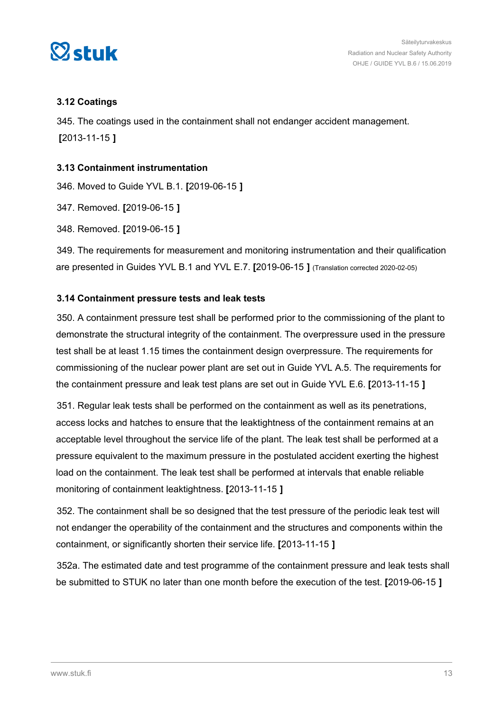<span id="page-12-0"></span>

## **3.12 Coatings**

345. The coatings used in the containment shall not endanger accident management. **[**2013-11-15 **]**

## **3.13 Containment instrumentation**

346. Moved to Guide YVL B.1. **[**2019-06-15 **]**

347. Removed. **[**2019-06-15 **]**

348. Removed. **[**2019-06-15 **]**

349. The requirements for measurement and monitoring instrumentation and their qualification are presented in Guides YVL B.1 and YVL E.7. **[**2019-06-15 **]** (Translation corrected 2020-02-05)

## **3.14 Containment pressure tests and leak tests**

350. A containment pressure test shall be performed prior to the commissioning of the plant to demonstrate the structural integrity of the containment. The overpressure used in the pressure test shall be at least 1.15 times the containment design overpressure. The requirements for commissioning of the nuclear power plant are set out in Guide YVL A.5. The requirements for the containment pressure and leak test plans are set out in Guide YVL E.6. **[**2013-11-15 **]**

351. Regular leak tests shall be performed on the containment as well as its penetrations, access locks and hatches to ensure that the leaktightness of the containment remains at an acceptable level throughout the service life of the plant. The leak test shall be performed at a pressure equivalent to the maximum pressure in the postulated accident exerting the highest load on the containment. The leak test shall be performed at intervals that enable reliable monitoring of containment leaktightness. **[**2013-11-15 **]**

352. The containment shall be so designed that the test pressure of the periodic leak test will not endanger the operability of the containment and the structures and components within the containment, or significantly shorten their service life. **[**2013-11-15 **]**

352a. The estimated date and test programme of the containment pressure and leak tests shall be submitted to STUK no later than one month before the execution of the test. **[**2019-06-15 **]**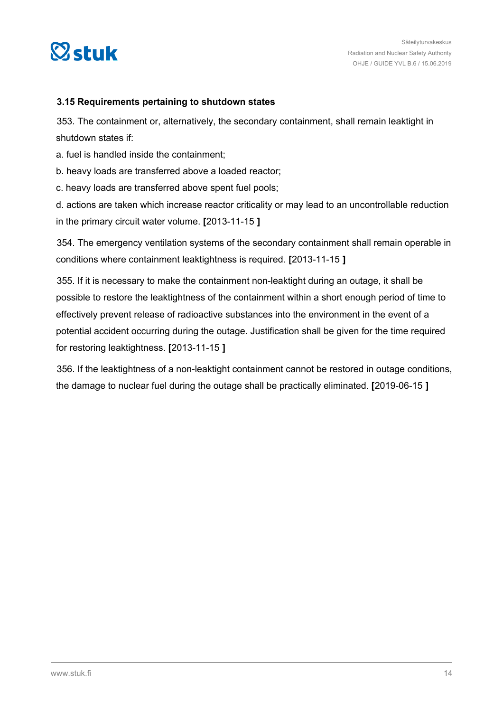<span id="page-13-0"></span>

## **3.15 Requirements pertaining to shutdown states**

353. The containment or, alternatively, the secondary containment, shall remain leaktight in shutdown states if:

- a. fuel is handled inside the containment;
- b. heavy loads are transferred above a loaded reactor;
- c. heavy loads are transferred above spent fuel pools;
- d. actions are taken which increase reactor criticality or may lead to an uncontrollable reduction in the primary circuit water volume. **[**2013-11-15 **]**

354. The emergency ventilation systems of the secondary containment shall remain operable in conditions where containment leaktightness is required. **[**2013-11-15 **]**

355. If it is necessary to make the containment non-leaktight during an outage, it shall be possible to restore the leaktightness of the containment within a short enough period of time to effectively prevent release of radioactive substances into the environment in the event of a potential accident occurring during the outage. Justification shall be given for the time required for restoring leaktightness. **[**2013-11-15 **]**

356. If the leaktightness of a non-leaktight containment cannot be restored in outage conditions, the damage to nuclear fuel during the outage shall be practically eliminated. **[**2019-06-15 **]**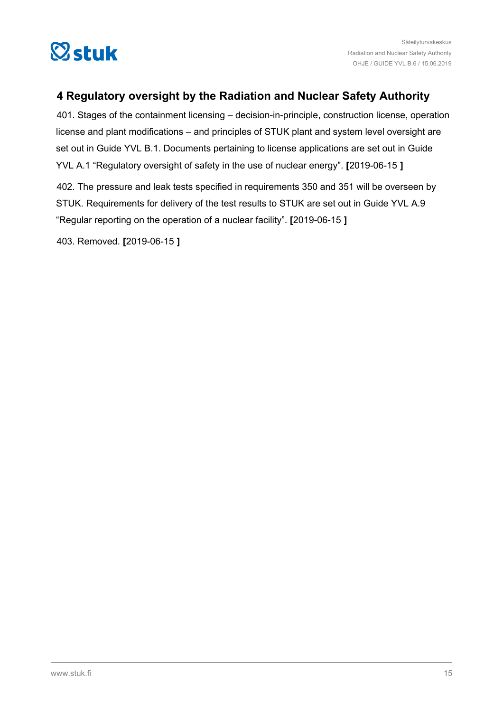<span id="page-14-0"></span>

## **4 Regulatory oversight by the Radiation and Nuclear Safety Authority**

401. Stages of the containment licensing – decision-in-principle, construction license, operation license and plant modifications – and principles of STUK plant and system level oversight are set out in Guide YVL B.1. Documents pertaining to license applications are set out in Guide YVL A.1 "Regulatory oversight of safety in the use of nuclear energy". **[**2019-06-15 **]**

402. The pressure and leak tests specified in requirements 350 and 351 will be overseen by STUK. Requirements for delivery of the test results to STUK are set out in Guide YVL A.9 "Regular reporting on the operation of a nuclear facility". **[**2019-06-15 **]**

403. Removed. **[**2019-06-15 **]**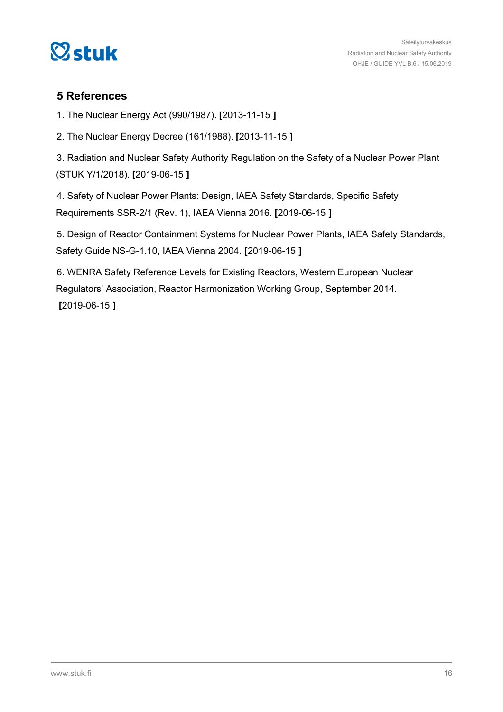<span id="page-15-0"></span>

## **5 References**

1. The Nuclear Energy Act (990/1987). **[**2013-11-15 **]**

2. The Nuclear Energy Decree (161/1988). **[**2013-11-15 **]**

3. Radiation and Nuclear Safety Authority Regulation on the Safety of a Nuclear Power Plant (STUK Y/1/2018). **[**2019-06-15 **]**

4. Safety of Nuclear Power Plants: Design, IAEA Safety Standards, Specific Safety Requirements SSR-2/1 (Rev. 1), IAEA Vienna 2016. **[**2019-06-15 **]**

5. Design of Reactor Containment Systems for Nuclear Power Plants, IAEA Safety Standards, Safety Guide NS-G-1.10, IAEA Vienna 2004. **[**2019-06-15 **]**

6. WENRA Safety Reference Levels for Existing Reactors, Western European Nuclear Regulators' Association, Reactor Harmonization Working Group, September 2014. **[**2019-06-15 **]**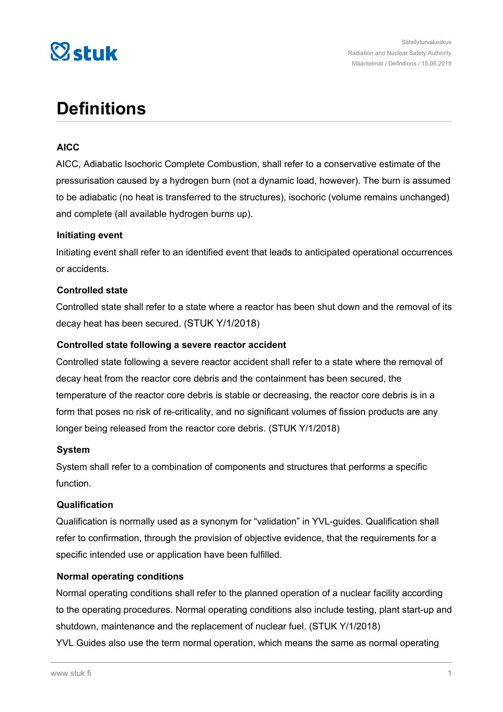

## **Definitions**

## **AICC**

AICC, Adiabatic Isochoric Complete Combustion, shall refer to a conservative estimate of the pressurisation caused by a hydrogen burn (not a dynamic load, however). The burn is assumed to be adiabatic (no heat is transferred to the structures), isochoric (volume remains unchanged) and complete (all available hydrogen burns up).

## **Initiating event**

Initiating event shall refer to an identified event that leads to anticipated operational occurrences or accidents.

## **Controlled state**

Controlled state shall refer to a state where a reactor has been shut down and the removal of its decay heat has been secured. (STUK Y/1/2018)

## **Controlled state following a severe reactor accident**

Controlled state following a severe reactor accident shall refer to a state where the removal of decay heat from the reactor core debris and the containment has been secured, the temperature of the reactor core debris is stable or decreasing, the reactor core debris is in a form that poses no risk of re-criticality, and no significant volumes of fission products are any longer being released from the reactor core debris. (STUK Y/1/2018)

### **System**

System shall refer to a combination of components and structures that performs a specific function.

### **Qualification**

Qualification is normally used as a synonym for "validation" in YVL-guides. Qualification shall refer to confirmation, through the provision of objective evidence, that the requirements for a specific intended use or application have been fulfilled.

## **Normal operating conditions**

Normal operating conditions shall refer to the planned operation of a nuclear facility according to the operating procedures. Normal operating conditions also include testing, plant start-up and shutdown, maintenance and the replacement of nuclear fuel. (STUK Y/1/2018)

YVL Guides also use the term normal operation, which means the same as normal operating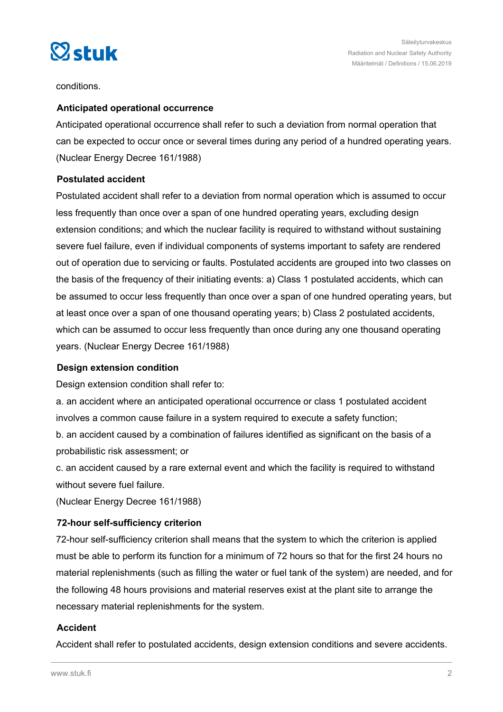

conditions.

## **Anticipated operational occurrence**

Anticipated operational occurrence shall refer to such a deviation from normal operation that can be expected to occur once or several times during any period of a hundred operating years. (Nuclear Energy Decree 161/1988)

## **Postulated accident**

Postulated accident shall refer to a deviation from normal operation which is assumed to occur less frequently than once over a span of one hundred operating years, excluding design extension conditions; and which the nuclear facility is required to withstand without sustaining severe fuel failure, even if individual components of systems important to safety are rendered out of operation due to servicing or faults. Postulated accidents are grouped into two classes on the basis of the frequency of their initiating events: a) Class 1 postulated accidents, which can be assumed to occur less frequently than once over a span of one hundred operating years, but at least once over a span of one thousand operating years; b) Class 2 postulated accidents, which can be assumed to occur less frequently than once during any one thousand operating years. (Nuclear Energy Decree 161/1988)

## **Design extension condition**

Design extension condition shall refer to:

a. an accident where an anticipated operational occurrence or class 1 postulated accident involves a common cause failure in a system required to execute a safety function;

b. an accident caused by a combination of failures identified as significant on the basis of a probabilistic risk assessment; or

c. an accident caused by a rare external event and which the facility is required to withstand without severe fuel failure.

(Nuclear Energy Decree 161/1988)

## **72-hour self-sufficiency criterion**

72-hour self-sufficiency criterion shall means that the system to which the criterion is applied must be able to perform its function for a minimum of 72 hours so that for the first 24 hours no material replenishments (such as filling the water or fuel tank of the system) are needed, and for the following 48 hours provisions and material reserves exist at the plant site to arrange the necessary material replenishments for the system.

## **Accident**

Accident shall refer to postulated accidents, design extension conditions and severe accidents.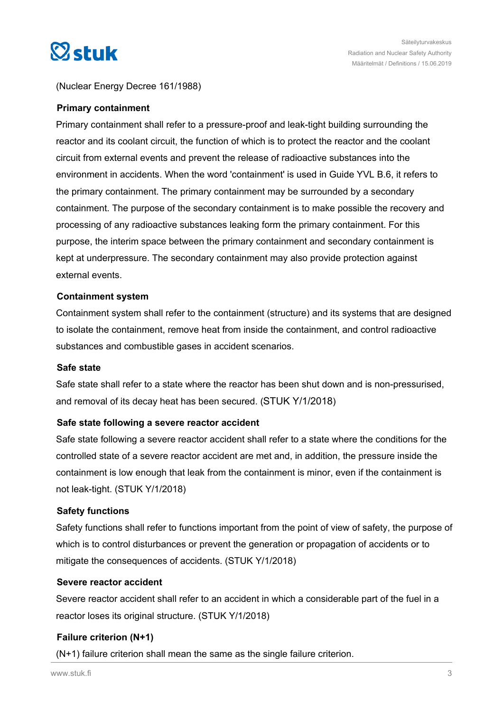

## (Nuclear Energy Decree 161/1988)

#### **Primary containment**

Primary containment shall refer to a pressure-proof and leak-tight building surrounding the reactor and its coolant circuit, the function of which is to protect the reactor and the coolant circuit from external events and prevent the release of radioactive substances into the environment in accidents. When the word 'containment' is used in Guide YVL B.6, it refers to the primary containment. The primary containment may be surrounded by a secondary containment. The purpose of the secondary containment is to make possible the recovery and processing of any radioactive substances leaking form the primary containment. For this purpose, the interim space between the primary containment and secondary containment is kept at underpressure. The secondary containment may also provide protection against external events.

#### **Containment system**

Containment system shall refer to the containment (structure) and its systems that are designed to isolate the containment, remove heat from inside the containment, and control radioactive substances and combustible gases in accident scenarios.

#### **Safe state**

Safe state shall refer to a state where the reactor has been shut down and is non-pressurised, and removal of its decay heat has been secured. (STUK Y/1/2018)

### **Safe state following a severe reactor accident**

Safe state following a severe reactor accident shall refer to a state where the conditions for the controlled state of a severe reactor accident are met and, in addition, the pressure inside the containment is low enough that leak from the containment is minor, even if the containment is not leak-tight. (STUK Y/1/2018)

### **Safety functions**

Safety functions shall refer to functions important from the point of view of safety, the purpose of which is to control disturbances or prevent the generation or propagation of accidents or to mitigate the consequences of accidents. (STUK Y/1/2018)

#### **Severe reactor accident**

Severe reactor accident shall refer to an accident in which a considerable part of the fuel in a reactor loses its original structure. (STUK Y/1/2018)

### **Failure criterion (N+1)**

(N+1) failure criterion shall mean the same as the single failure criterion.